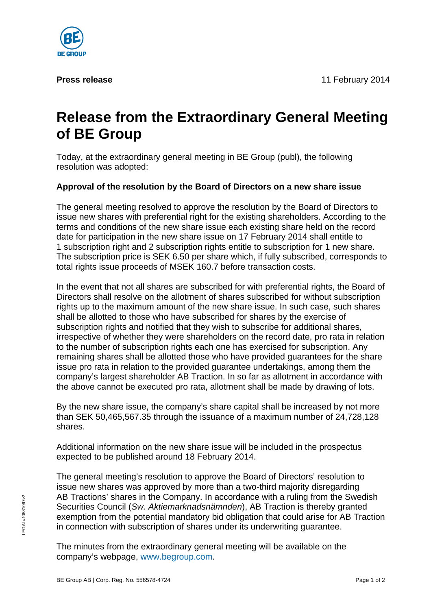**Press release** 11 February 2014



## **Release from the Extraordinary General Meeting of BE Group**

Today, at the extraordinary general meeting in BE Group (publ), the following resolution was adopted:

## **Approval of the resolution by the Board of Directors on a new share issue**

The general meeting resolved to approve the resolution by the Board of Directors to issue new shares with preferential right for the existing shareholders. According to the terms and conditions of the new share issue each existing share held on the record date for participation in the new share issue on 17 February 2014 shall entitle to 1 subscription right and 2 subscription rights entitle to subscription for 1 new share. The subscription price is SEK 6.50 per share which, if fully subscribed, corresponds to total rights issue proceeds of MSEK 160.7 before transaction costs.

In the event that not all shares are subscribed for with preferential rights, the Board of Directors shall resolve on the allotment of shares subscribed for without subscription rights up to the maximum amount of the new share issue. In such case, such shares shall be allotted to those who have subscribed for shares by the exercise of subscription rights and notified that they wish to subscribe for additional shares, irrespective of whether they were shareholders on the record date, pro rata in relation to the number of subscription rights each one has exercised for subscription. Any remaining shares shall be allotted those who have provided guarantees for the share issue pro rata in relation to the provided guarantee undertakings, among them the company's largest shareholder AB Traction. In so far as allotment in accordance with the above cannot be executed pro rata, allotment shall be made by drawing of lots.

By the new share issue, the company's share capital shall be increased by not more than SEK 50,465,567.35 through the issuance of a maximum number of 24,728,128 shares.

Additional information on the new share issue will be included in the prospectus expected to be published around 18 February 2014.

The general meeting's resolution to approve the Board of Directors' resolution to issue new shares was approved by more than a two-third majority disregarding AB Tractions' shares in the Company. In accordance with a ruling from the Swedish Securities Council (*Sw. Aktiemarknadsnämnden*), AB Traction is thereby granted exemption from the potential mandatory bid obligation that could arise for AB Traction in connection with subscription of shares under its underwriting guarantee.

The minutes from the extraordinary general meeting will be available on the company's webpage, www.begroup.com.